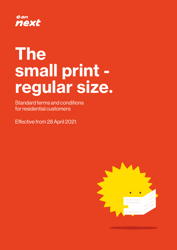

# **The small print regular size.**

Standard terms and conditions for residential customers

Effective from 28 April 2021.

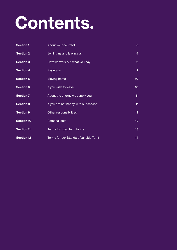# **Contents.**

| <b>Section 1</b>  | About your contract                           | 3              |
|-------------------|-----------------------------------------------|----------------|
| <b>Section 2</b>  | Joining us and leaving us                     | 4              |
| <b>Section 3</b>  | How we work out what you pay                  | 6              |
| <b>Section 4</b>  | Paying us                                     | $\overline{7}$ |
| <b>Section 5</b>  | Moving home                                   | 10             |
| <b>Section 6</b>  | If you wish to leave                          | 10             |
| <b>Section 7</b>  | About the energy we supply you                | 11             |
| <b>Section 8</b>  | If you are not happy with our service         | 11             |
| <b>Section 9</b>  | Other responsibilities                        | 12             |
| <b>Section 10</b> | Personal data                                 | 12             |
| <b>Section 11</b> | Terms for fixed term tariffs                  | 13             |
| <b>Section 12</b> | <b>Terms for our Standard Variable Tariff</b> | 14             |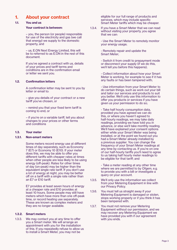## **1. About your contract**

#### **1.1. You and us**

#### **Your contract is between:**

– you, the person (or people) responsible for use of the electricity and gas (we call that energy) we supply to the domestic property, and

– us, E.ON Next Energy Limited, this will be to referred to as E.ON in the rest of this document.

If you've agreed a contract with us, details of your prices and tariff terms and conditions are in the confirmation email or letter we sent you.

#### **1.2. Confirmation letters**

A confirmation letter may be sent to you by letter or email to:

– give you details of your contract or a new tariff you've chosen, or

– remind you that your fixed term tariff is coming to end, or

– if you're on a variable tariff, tell you about changes to your prices or other terms and conditions

#### **1.3. Your meter**

#### **1.3.1. Non-smart meters**

Some meters record energy use at different times of day separately, such as Economy 7 (E7) or Economy 10 (E10). If your meter does this, we may be able to offer you different tariffs with cheaper rates at times when other people are less likely to be using energy (off-peak). Rates for other times of day (on-peak) may be higher than the equivalent single rate tariff. If you don't use a lot of energy at night, you may be better off on a tariff with a single rate rather than an E7 or E10 tariff.

E7 provides at least seven hours of energy at a cheaper rate and E10 provides at least 10 hours. Some people may still have meters which have more than one off-peak time, or record heating use separately. These are known as complex meters and they are no longer available.

#### **1.3.2. Smart meters**

1.3.3. We may contact you at any time to offer you a Smart meter. We will arrange an appointment with you for the installation of this. If you repeatedly refuse to allow us to install a Smart Meter, you may not be

eligible for our full range of products and services, which may include specific Smart Meter tariffs which may be cheaper.

1.3.4. If you have a Smart Meter that we can read without visiting your property, you agree that we can:

> - Use the Smart Meter to remotely monitor your energy usage;

- Remotely repair and update the Smart Meter;

- Switch it from credit to prepayment mode or disconnect your supply (if we do this, we'll tell you before this happens);

- Collect information about how your Smart Meter is working, for example to see if it has any faults or has been tampered with;

- Use information from your Smart Meter to do certain things, such as work out your bill and tailor our services and products to suit you better. We'll only use this information to offer you products or services if you have given us your permission to do so;

- Take half hourly consumption data, provided you have agreed we can do this, or where you haven't agreed to half-hourly readings, we may take daily readings, providing we have told you in advance, or else we'll take monthly reading. We'll have explained your consent options either while your Smart Meter was being installed, or at the point we found out you had a Smart Meter already installed by a previous supplier. You can change the frequency of your Smart Meter readings at any time by contacting us. If you're on one of our half-hourly tariffs you'll need to agree to us taking half hourly meter readings to be eligible for that tariff; and

- Take a meter reading at any other time where we are permitted to by Ofgem, e.g. to provide you with a bill or investigate a query on your account.

- 1.3.5. We'll only use the information we collect from your Metering Equipment in line with our Privacy Policy.
- 1.3.6. You must tell us straight away if your Metering Equipment is damaged or stolen, stops working properly or if you think it has been tampered with.
- 1.3.7. You must not remove your Metering Equipment without our permission, and we may recover any Metering Equipment we have provided you with if our agreement with you ends.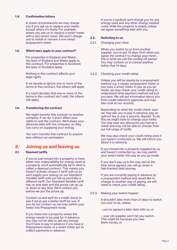#### **1.4. Confirmation letters**

In some circumstances we may charge you if you ask us to replace your meter, except where it's faulty. For example, where you ask us to replace a smart meter with a non-smart meter. We won't charge you to install or remove a non-smart prepayment meter.

#### **1.5. Which laws apply to your contract?**

For properties in England and Wales, the laws of England and Wales apply to this contract. For properties in Scotland, the laws of Scotland apply.

Nothing in this contract affects your legal rights.

If we decide to ignore one or more of the terms in this contract, the others still apply.

If a court decides that one or more of the terms in this contract isn't valid, the others still apply.

#### **1.6. Transferring the contract**

We might transfer this contract to another company. If we do, it won't affect your rights to end the contract. We'll share your personal data with the company, so they can carry on supplying your energy.

You can't transfer this contract to anyone else without our permission.

## **2. Joining us and leaving us**

#### **2.1. Deemed tariffs**

If you've just moved into a property or have taken over responsibility for energy used at a property, you'll automatically be in what is called a deemed contract. This means you haven't actively chosen a tariff with us so we'll supply your energy on our Standard Variable tariff until you tell us you'd like a different tariff. Our Standard Variable tariff has no end date and the prices can go up or down at any time. We'll contact you before we put the prices up.

Contact us and we'll do a credit check to see if we've got a better tariff for you. If you do not contact us, we may switch your meter into Prepayment mode.

If you move into a property where the energy needs to be paid for in advance, you may not be able to get any energy. You'll have to pay in advance if you have a Prepayment meter or a smart meter set to collect payments in advance.

If you're a landlord we'll charge you for any energy used and any other energy-related costs while the property is empty, unless we agree something else with you.

#### **2.2. Switching to us**

2.2.1. Changing your mind

When you switch to us from another supplier, you've got 14 days from when you agree the contract to change your mind – this is what we call the cooling off period. You may contact us to cancel anytime within that 14 days.

2.2.2. Checking your credit rating

Unless you will be paying by a prepayment method e.g. a classic prepayment meter or you have a smart meter in pay as you go mode, we may check your credit rating to understand what payment method will suit you best. We will get information about you from credit reference agencies and may also look at our records.

Depending on what the credit check says we may ask you to pay in advance, pay an upfront fee or pay a security deposit. To do this we might have to change your meter. You may lose any discounts you had as a result and may not be able to choose from our full range of tariffs.

We may also check your credit rating even if you haven't contacted us. We will inform you about it in advance.

If you moved into a property supplied by us and haven't contacted us, we may switch your smart meter into pay as you go mode.

If you don't pay us in the way and at the time we've agreed, you will go down a fast-tracked debt journey.

If you are currently paying in advance by a prepayment method and would like to change to another way of paying, we will need to check your credit rating.

2.2.3. Making your switch happen

It shouldn't take more than 21 days to switch you over to us, unless:

– you've agreed a later date with us, or

– your old supplier won't let you switch. This might be because you owe them money, or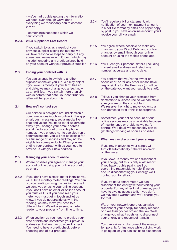– we've had trouble getting the information we need, even though we've done everything we reasonably can to contact you, or

– something's happened which we can't control.

#### **2.2.4. 2.2.4 Supplier of Last Resort**

If you switch to us as a result of your previous supplier exiting the market, we will take reasonable steps to carry out any agreement we make with Ofgem, which may include honouring any credit balance held on your account with your previous supplier.

#### **2.3. Ending your contract with us**

You can arrange to switch to another supplier whenever you like. We may object if you owe us money. If your tariff has an end date, we may charge you a fee, known as an exit fee, if you switch more than six weeks before that date. Your confirmation letter will tell you about this.

#### **2.4. How we'll contact you**

Our service is designed around electronic communications (such as online, in the app, email, push messages, social media, live chat and voice). You need to tell us straight away if you change your email address, social media account or mobile phone number. If you choose not to use electronic communications, you will not be eligible for our full range of services and may not be eligible for some products. When you are ending your contract with us you need to provide us with your new address.

#### **2.5. Managing your account online**

- 2.5.1. Where possible you agree to manage your account online using your online account or by email.
- 2.5.2. If you don't have a smart meter installed you will submit monthly meter readings. You can provide readings using the link in the email we send you or using your online account. If you don't have an email or online account, you must call us. If you can't read your meter, you must get in touch and let us know. If you do not provide us with the reading, we may move you onto to a different tariff. We will also send a meter reader to your property from time to time.
- 2.5.3. When you join us you need to provide your date of birth and sometimes your previous address so that we can do a credit check. You need to have a credit check before choosing one of our products.
- 2.5.4. You'll receive a bill or statement, with notification of your next payment amount, in a pdf file format by email or a paper copy by post. If you have an online account, you'll receive your bill via email:
- 2.5.5. You agree, where possible, to make any changes to your Direct Debit and contract changes by email, through your online account or using the mobile phone app;
- 2.5.6. You'll keep your personal details (including current email address and telephone number) accurate and up to date.
- 2.5.7. You confirm that you're the owner or occupier of, or for any other reason have responsibility for, the Premises (or will be on the date you want your supply to start).
- 2.5.8. Tell us if you change your premises from domestic to business use so we can make sure you are on the correct tariff. We reserve the right to move you onto a non-domestic tariff if this is appropriate.
- 2.5.9. Sometimes, your online account or our online services may be unavailable because of maintenance or problems we can't control. We'll do all we reasonably can to get things working as soon as possible.

#### **2.6. When we can disconnect your energy**

If you pay in advance, your supply will turn off automatically if there's no credit on the meter.

If you owe us money, we can disconnect your energy, but this is only a last resort. If you have trouble paying we'll do everything reasonable to help. If we do end up disconnecting your energy, we'll contact you to tell you.

If you've got a smart meter, we can disconnect the energy without visiting your property. For any other kind of meter, you'd have to give us access to it. If you don't, we may get a warrant and we'll charge you for that.

We, or your network operator, can also disconnect your energy for safety reasons, or if we think you've broken the law. We'll charge you what it costs us to disconnect your energy and reconnect it again.

You can ask us to disconnect the energy temporarily, for instance while building work is going on, or you can ask us to disconnect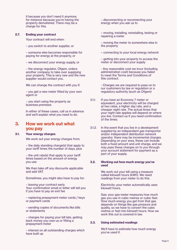it because you don't need it anymore, for instance because you're having the property demolished. There may be a charge for this.

#### **2.7. Ending your contract**

Your contract will end when:

– you switch to another supplier, or

– someone else becomes responsible for paying for energy at the property, or

– we disconnect your energy supply, or

– the energy regulator, Ofgem, orders another company to take over supplying your property. This is very rare and the new supplier would contact you.

We can change the contract with you if:

– you get a new meter fitted by your own agent or

– you start using the property as business premises

In either of these cases, call us in advance and we'll explain what you need to do.

## **3. How we work out what you pay**

#### **3.1. Your energy charges**

We work out your energy charges from:

– the daily standing charge(s) that apply to your tariff times the number of days, plus

– the unit rate(s) that apply to your tariff times based on the amount of energy you use

We then take off any discounts applicable and add VAT.

Sometimes, you might also have to pay for:

– leaving your contract early. Your confirmation email or letter will tell you if you have to pay an exit fee

– replacing prepayment meter cards / keys or payment cards

– sending copies of documents like bills or statements

– charges for paying your bill late, getting back money you owe us or fitting a prepayment meter

– interest on all outstanding charges which have built up

– disconnecting or reconnecting your energy when you ask us to

– moving, installing, reinstalling, testing or repairing a meter

– moving the meter to somewhere else in the property

– connecting to your local energy network

– getting into your property to access the meter or disconnect your supply

- Any reasonable cost we incur (including administration cost) because you failed to meet the Terms and Conditions of this contract.

- Charges we are required to pass on to our customers by law or regulation or a regulatory authority (such as Ofgem)

- 3.1.1. If you have an Economy 7 meter or equivalent, your electricity will be charged at two rates, a higher day rate, and a cheaper night rate. The actual times that your night rate applies will depend on where you live. Contact us if you need confirmation of the times.
- 3.1.2. In the event that you live in a development supplied by an independent gas transporter and/or independent distribution network operator, there may be incremental charges. Depending on your area, these can include both a fixed amount and unit charge, and we may pass these charges on to you through your account statement for payment as a part of your supply.

#### **3.2. Working out how much energy you've used**

We work out your bill using a measure called kilowatt hours (kWh). We need readings from your meter to do this.

Electricity: your meter automatically uses kilowatt hours.

Gas: your gas meter measures how much gas you use in cubic metres or cubic feet. How much energy you get from that gas depends on things like gas pressure and quality, so we have to convert the cubic metres or feet into kilowatt hours. How we work this out is covered in law.

#### **3.3. Using estimated readings**

We'll have to estimate how much energy you've used if: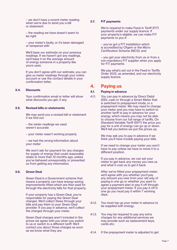– we don't have a recent meter reading when we're due to send you a bill or statement

– the reading we have doesn't seem to be right

– your meter's faulty, or it's been damaged or tampered with

We'll base our estimate on your previous readings. If we haven't got any readings, we'll base it on the average amount of energy someone in a property like yours uses.

If you don't agree with our estimate, you can give us meter readings through your online account or use the contact details in your confirmation letter.

#### **3.4. Discounts**

Your confirmation email or letter will show what discounts you get, if any.

#### **3.5. Revised bills or statements**

We may send you a revised bill or statement if we find out:

– the meter readings we used weren't accurate

– your meter wasn't working properly

– we had the wrong information about your meter

We won't ask for payment for any charges for supply of energy that could reasonably relate to more than 12 months ago, unless you've behaved unreasonably or prevented us from getting any information.

#### **3.6. Green Deal**

Green Deal is a Government scheme that means a property can have energy-saving improvements fitted which are then paid for through the electricity bills for that property.

If your property has a Green Deal, you're responsible for paying the Green Deal charges. We'll collect these through your bills and pay them to your Green Deal provider. If you pay in advance, we'll collect the charges through your meter.

Green Deal charges aren't included in the prices we agree with you when you switch to us or switch to a different tariff. We'll contact you about those charges as soon as we know what they are.

#### **3.7. FiT payments**

We're required to make Feed-in Tariff (FiT) payments under our supply licence. If your property's eligible, we can make FiT payments to you if:

– you've got a FiT installation which is accredited by Ofgem or the Micro Certification Scheme (MCS); and

– you get your electricity from us or from a non-mandatory FiT supplier when you apply for FiT payments

We pay what's set out in the Feed-in Tariffs Order 2012, as amended, and our electricity supply licence.

## **4. Paying us**

#### **4.1. Paying in advance**

4.1.1. You can pay in advance by Direct Debit (DD), cash or through a Smart Meter that is switched to prepayment mode, or a prepayment meter. We may need to change your meter and you may have to switch to another tariff to pay in advance for your energy, which means you may not be able to choose from our full range of tariffs. On Standard Variable Tariff (SVT) the price you pay for a unit of energy can go up or down. We'll tell you before we put the prices up.

> We may ask you to pay in advance if we think you'll have trouble paying your bills.

If we need to change your meter you won't have to pay unless we have to move it to a different position.

If you pay in advance, we can set your meter to get back any money you owe us and what it cost us to get it back.

After we've fitted your prepayment meter, we'll agree with you whether you'll pay any amount you owe from your old way of paying in one go or whether you want to agree a payment plan to pay it off through your prepayment meter. If you pay it off in one go you must pay it within 7 working days.

- 4.1.2. You must top up your meter in advance to be supplied with energy;
- 4.1.3. You may be required to pay any extra charges for any additional services we may provide such as replacement keys, cards etc;
- 4.1.4. If the prepayment meter is adjusted to get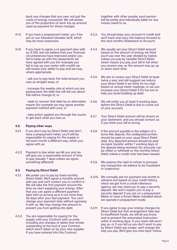back any charges that you owe, not just the costs of energy consumed. We will advise you of the proportion of each top up amount used as payment for these charges.

- 4.1.5. If you have a prepayment meter, you 'll be put on our Standard Variable tariff, which may be more expensive.
- 4.1.6. If you have to agree a re-payment plan with us, E.ON, and we believe that your financial circumstances have improved and/or you fail to keep up with the repayments we have agreed with you (for example you fail to top up your meter with credit) we will review your ability to pay and we may, where appropriate:

- ask you to pay back the total amount you owe us straight away, or

- increase the weekly rate at which you are paying back the debt (we will tell you about this before change it), or

- seek to recover that debt by an alternative means (for example we may agree another payment method with you), or

- take action against you through the courts to get back what you owe us

#### **4.2. Paying other ways**

- 4.2.1. If you don't pay by Direct Debit and don't have a prepayment meter, you'll still be responsible for paying for the supply in full each month a different way, which you agree with us.
- 4.2.2. Payment is due when we bill you and we will give you a reasonable amount of time to pay (usually 7 days unless we agree something different).

#### **4.3. Paying by Direct Debit**

- 4.3.1. We prefer you to pay by fixed monthly Direct Debit. We'll agree a monthly amount with you and we'll contact you to confirm it. We will take the first payment around the time we start supplying your energy. After that you can agree a different payment date with us as long as is it not more than 28 days after your last payment. You can't change your payment date without agreeing it with us. We may change the amount to prevent you from getting into debt.
- 4.3.2. You are responsible for paying for the supply until your Contract with us ends, including any charges or debts that remain outstanding at the end of your Contract which aren't taken on by your new supplier. If you have entered into this Contract

together with other people, each person will be jointly and individually liable for any money owed to us.

- 4.3.3. You should keep your account in credit and we'll track and carry the balance forward to the next month's Statement of Account;
- 4.3.4. We usually set your Direct Debit amount based on the amount of energy we think you'll use over the year divided by twelve unless you pay by variable Direct Debit; which means you pay your bill in full when you receive one, so the amount may go up or down each time;
- 4.3.5. We aim to review your Direct Debit at least twice a year and will suggest we reduce your Direct Debit if we think it's too high based on actual meter readings, or we can increase your Direct Debit if it's too low to help you avoid building up debt:
- 4.3.6. We will notify you at least 5 working days before the Direct Debit is due to come out of your account;
- 4.3.7. Your Direct Debit amount will be shown on your statement, and you should contact us if you think your bill is wrong;
- 4.3.8. If the amount payable is the subject of a bona fide dispute, the undisputed portion should be paid on your usual Direct Debit date. Any disputed amount should be paid via bank transfer within 7 working days of the dispute being resolved. No amounts can be offset or withheld on the monthly Direct Debit unless a credit note has been issued;
- 4.3.9. We reserve the right to refuse to process any transaction we believe to be fraudulent or suspicious.
- 4.3.10. We normally ask for payment one month in advance but based on your credit history, which we get from a credit reference agency, we may need you to pay a security deposit. We won't require you to pay a security deposit if you are on a prepayment Meter or have a Smart Meter installed which we operate in prepayment mode.
- 4.3.11. If you agree to pay your energy charges by Direct Debit but that arrangement fails due to insufficient funds, we will let you know and re-present the automated instruction within 5 working days. If your bank still won't pay us, or if you tell us you don't want to pay by Direct Debit any longer, we'll change the way you pay. We'll give you nine days' notice,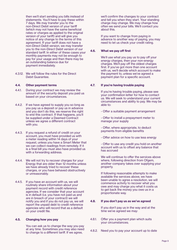then we'll start sending you bills instead of statements. You'll have to pay these within 7 days. We may transfer you to the non-Direct Debit version of your tariff (which may not have the same beneficial rates or charges as applied to the original version of your tariff) and will give you notice of any change to the terms of this agreement. If your tariff does not have a non-Direct Debit version, we may transfer you to the non-Direct Debit version of our standard tariff. In either of these cases your monthly payments may not be enough to pay for your usage and then there may be an outstanding balance due for payment immediately.

4.3.12. We will follow the rules for the Direct Debit Guarantee.

#### **4.4. Other payment terms**

- 4.4.1. During your contract we may review the amount of the security deposit you paid us based on your circumstances.
- 4.4.2. If we have agreed to supply you so long as you pay us a deposit or pay us in advance and you don't do this, we reserve the right to end this contract. If that happens, you'll be supplied under a Deemed Contract unless we agree a different contract with you.
- 4.4.3. If you request a refund of credit on your account, you must have provided us with a meter reading within 14 days of your request, unless you have a Smart Meter that we can collect readings from remotely. If it is a final bill you must also have provided us with a forwarding address.
- 4.4.4. We will not try to recover charges for your Energy that are older than 12 months unless we have already tried to recover these charges, or you have behaved obstructively or unreasonably.
- 4.4.5. If you have an account with us, we will routinely share information about your payment record with credit reference agencies. If we consider that your account is in default (i.e. you have not paid us and are in breach of your contract) we will notify you and if you do not pay us, we will report the unpaid debt to credit reference agencies who will record that as a default on your credit file.

#### **4.5. Changing how you pay**

You can ask us to change the way you pay at any time. Sometimes you may also need to change to a different tariff. If we agree,

we'll confirm the changes to your contract and tell you when they start. Your standing charge may change. We may change how often we send your bills. We'll contact you about this.

If you want to change from paying in advance to another way of paying, you may need to let us check your credit rating.

#### **4.6. What we pay off first**

We'll use what you pay us to pay off your energy charges, then your non-energy charges. We'll pay off the oldest charges first. If you've got more than one account with us, we'll decide which account to make the payment to, unless we've agreed a payment plan for a specific account.

#### **4.7. If you're having trouble paying**

If you're having trouble paying, please see your confirmation letter for how to contact us. We will seek to understand your current circumstances and ability to pay. We may be able to:

- Offer a suitable payment arrangement
- Offer to install a prepayment meter to manage your supply
- Offer, where appropriate, to deduct payments from eligible benefits
- Offer advice on how to use less energy
- Offer to use any credit you hold on another account with us to offset any balance that has accrued

We will continue to offer the services above where, following direction from Ofgem, another company takes over supplying your property.

If following reasonable attempts to make available the services above, we have been unable to agree a resolution, we will commence activity to recover what you owe and may charge you what it costs us to get back the money you owe us in a proportionate way.

#### **4.8. If you don't pay us as we've agreed**

If you don't pay us in the way and at the time we've agreed we may:

- 4.8.1. Offer you a payment plan which suits your circumstances;
- 4.8.2. Need you to pay your account up to date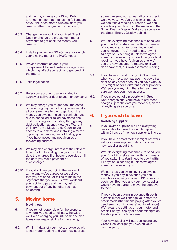and we may change your Direct Debit arrangement so that it takes the full amount of your bill each month plus any debt you owe us rather than just a fixed amount;

- 4.8.3. Change the amount of your fixed Direct Debit or change the prepayment meter payments to get back the money you owe us;
- 4.8.4. Install a prepayment/PAYG meter or switch your existing meter into PAYG mode;
- 4.8.5. Provide information about your non-payment to credit reference agencies, which may affect your ability to get credit in the future;
- 4.8.6. Take legal action;
- 4.8.7. Refer your account to a debt collection agency or sell your debt to another company;
- 4.8.8. We may charge you to get back the costs of collecting payments from you, especially all costs we have to pay to get back the money you owe us, including bank charges due to cancelled or failed payments, the cost of visiting you, including through any debt collection agency, getting a Warrant of Entry from a Magistrates Court to get access to our meter and installing a meter in prepayment mode, cost of finding you if you have moved and not given us a forwarding address;
- 4.8.9. We may also charge interest at the relevant time on all outstanding charges from the date the charges first became overdue until the date you make payment of such charges;
- 4.8.10. If you don't pay your bill in the way and at the time we've agreed or we believe that you are at risk of failing to make the payments that you owe us, we'll work out your ability to pay and we may ask for payment out of any benefits you may be getting.

## **5. Moving home**

#### **Moving out**

- 5.1. If you're not responsible for the property anymore, you need to tell us. Otherwise we'll keep charging you until someone else takes over responsibility for the energy.
- 5.2. Within 14 days of your move, provide us with a final meter reading and your new address

so we can send you a final bill or any credit we owe you. If you've got a smart meter, we can take a reading ourselves. We can also clear your data from the meter and the Smart Energy Display. Make sure you leave the Smart Energy Display behind.

- 5.3. We'll do everything reasonable to send you your final bill or statement within six weeks of you moving out (or of us finding out you've moved). You'll need to pay it within 14 days of us sending it unless we agree something else with you. We'll use your final reading. If you haven't given us one, we'll use the new occupant's reading or, if we don't have that, our own estimated reading.
- 5.4. If you have a credit on any E.ON account when you move, we may use it to pay off a debt on any other account you have with us. This might be for a different fuel or property. We'll pay you anything that's left so make sure we have your new address.
- 5.5. If you move out of a property with Green Deal charges due, you'll have to pay those charges up to the date you move out, on top of anything else you owe.

## **6. If you wish to leave**

#### **Switching supplier**

6.1. If you switch supplier, we'll do everything reasonable to make the switch happen within 21 days of the new supplier telling us.

> If you have a smart meter, it might not work with your new supplier. Talk to us or your new supplier about this.

> We'll do everything reasonable to send you your final bill or statement within six weeks of you switching. You'll need to pay it within 14 days of us sending it unless we agree something else with you.

> We can stop you switching if you owe us money. If you pay in advance you can switch as long as you owe £500 or less for each fuel. Both you and your new supplier would have to agree to move the debt over to them.

If you've been paying in advance through a smart meter we'll change your meter to credit mode (that means paying after you've used energy or 'in arrears', not in advance). We'll clear the settings on your meter and Smart Energy Display at about midnight on the day your switch happens.

Your new supplier will start collecting any Green Deal charges you owe on your new property.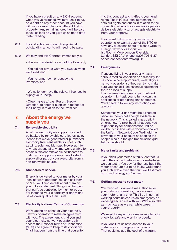If you have a credit on any E.ON account when you've switched, we may use it to pay off a debt on any other account you have with us (for example for a different fuel or property). Any remaining credit will be paid to you as long as you gave us an up to date meter reading.

- 6.1.1. If you do choose to switch supplier all outstanding amounts will need to be paid.
- 6.1.2. We may end this Contract immediately if:
	- You are in material breach of the Contract;

- You did not pay us what you owe us when we asked; and

- You no longer own or occupy the Premises; and

- We no longer have the relevant licences to supply your Energy.

- Ofgem gives a "Last Resort Supply Direction" to another supplier in respect of the Energy in relation to the Premises.

## **7. About the energy we supply you**

#### **7.1. Renewable electricity**

All of the electricity we supply to you will be backed by renewable certificates, as evidence that we've generated or purchased electricity from renewable sources such as wind, solar and biomass. However, if for any reason, and at any time, we're unable to obtain sufficient renewable certificates to match your supply, we may have to start to supply all or part of your electricity from a non-renewable source.

#### **7.2. Standards of service**

Energy is delivered to your meter by your local network operator. You can call them on 105. You'll find details about them on your bill or statement. Things can happen that can't be controlled by them or by us. For instance, your electricity or gas might be of lower quality than usual.

#### **7.3. Electricity National Terms of Connection**

We're acting on behalf of your electricity network operator to make an agreement with you. The agreement is that you and your electricity network operator both accept the National Terms of Connection (NTC) and agree to keep to its conditions. This'll happen from the time that you enter into this contract and it affects your legal rights. The NTC is a legal agreement. It sets out rights and duties in relation to the connection at which your network operator delivers electricity to, or accepts electricity from, your property.

If you want to know who your network operator is, or want a copy of the NTC or have any questions about it, please write to: Energy Networks Association, 1st Floor, 4 More London Riverside, London, SE1 2AU, phone: 0207 706 5137 or see connectionterms.org.uk.

#### **7.4. Emergencies**

If anyone living in your property has a serious medical condition or a disability, let us know. Where appropriate, we'll tell your network operator, so they can try to make sure you can still use essential equipment if there's a loss of supply. In a gas emergency, we or your network operator might ask you to turn down gas appliances or stop using gas altogether. You'll need to follow any instructions we give you.

Sometimes your gas might be turned off because there's not enough available in the network. This is called a gas deficit emergency. It's rare, but if it happens you might qualify for compensation. It'd be worked out in line with a document called the Uniform Network Code. We'll add the payment to your account as soon as the people who run the gas transmission grid tell us we should.

#### **7.5. Meter faults and problems**

If you think your meter is faulty, contact us using the contact details on our website so we can test it. You pay for the test, but if the meter does turn out to be faulty, we'll refund you. Until we've fixed the fault, we'll estimate how much energy you've used.

#### **7.6. Getting access to your meter**

You must let us, anyone we authorise, or your network operators, have access to your meter at any time. This'll be in normal working hours unless it's an emergency or we've agreed a time with you. We'll also take as much care as we can while we're in your property.

We need to inspect your meter regularly to check it's safe and working properly.

If you don't let us have access to your meter, we can charge you our costs. That could include the cost of a warrant.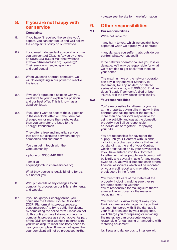- please see the site for more information.

## **8. If you are not happy with our service**

#### **Complaints**

- 8.1. If you haven't received the service you'd expect, you can contact us and we'll follow the complaints policy on our website.
- 8.2. If you need independent advice at any time you can contact Citizens Advice by phone on 0808 223 1133 or visit their website at www.citizensadvice.org.uk/energy/. Their service is free, independent and confidential.
- 8.3. When you send a formal complaint, we will do everything in our power to resolve the issue.
- 8.4. If we can't agree on a solution with you, we'll write to you to explain our position and our best offer. This is known as a deadlock letter.
- 8.5. If you don't want to accept the suggestion in the deadlock letter, or if the issue has dragged on for more than eight weeks, then you can refer the issue to the Energy Ombudsman.

They offer a free and impartial service that sorts out disputes between energy companies and customers.

You can get in touch with the Ombudsman by:

- phone on 0330 440 1624
- email at enquiry@ombudsman-services.org

What they decide is legally binding for us, but not for you.

- 8.6. We'll put details of any changes to our complaints process on our bills, statements, and website.
- 8.7. If you bought your energy online, you could use the Online Dispute Resolution (ODR) Platform at http://ec.europa.eu/ consumers/odr/ to try to settle the dispute by completing the online form. Please do not do this until you have followed our internal complaints process as set out above. As part of the ODR process we need to agree with you which dispute resolution body needs to hear your complaint. If we cannot agree then your complaint will not be processed further

## **9. Other responsibilities**

### **9.1. Our responsibilities**

We're not liable for:

– any harm to you, which we couldn't have expected when we agreed your contract

– any damage you suffer that's outside our control, whatever caused it

If the network operator causes you loss or damage, we'll only be responsible for what we're entitled to get back from them on your behalf.

The maximum we or the network operator can pay in any one year (January to December) for any incident, or related series of incidents, is £1,000,000. That limit doesn't apply if someone's died or been injured, or if the law doesn't limit liability.

### **9.2. Your responsibilities**

You're responsible for all energy you use at the property, paying bills in line with this contract and taking care of the meter. If more than one person's responsible for using electricity and gas at the domestic property, you'll all be responsible – as individuals or together – for paying your bills.

You are responsible for paying for the supply until your Contract with us ends. including any charges or debts that remain outstanding at the end of your Contract which aren't taken on by your new supplier. If you have entered into this Contract together with other people, each person will be jointly and severally liable for any money owed to us. You will all become each others' financial associates which will be recorded on your credit report and may affect your credit score in the future.

You must take care of the meters at the property, including making sure they're protected from the weather. You're responsible for making sure there's a meter box or cover for the meter or replacing them.

You must let us know straight away if you think your meter's damaged or if you think it's been tampered with. If the damage is your fault or caused by your negligence, we'll charge you for repairing or replacing the meter. We can prosecute anyone responsible for damaging or tampering with metering equipment.

It's illegal and dangerous to interfere with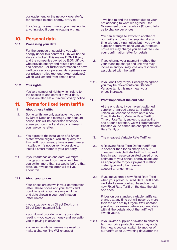our equipment, or the network operator's, for example to steal energy, or try to.

If you've got a smart meter, you must not let anything stop it communicating with us.

# **10. Personal data**

## **10.1. Processing your data**

For the purpose of supplying you with energy under this contract E.ON will be the 'data controller'. This means E.ON UK plc, and the companies owned by E.ON UK plc who provide energy and related products and services. For further information on how we'll process your personal data please see our privacy notice (eonenergy.com/privacy) which we'll amend from time to time.

### **10.2. Your rights**

You've a number of rights which relate to the access to and control of your data. These are also set out in our privacy notice.

## **11. Terms for fixed term tariffs**

### **11.1. About these tariffs**

- 11.1.1. Some tariffs are only available if you pay by Direct Debit and manage your account online. This will be confirmed when you agree your contract and also confirmed in your welcome letter.
- 11.1.2. You agree to the installation of a Smart Meter, where eligible. You still qualify for this tariff if you already have a smart meter installed or it's not currently possible to install a smart meter at your property.
- 11.1.3. If your tariff has an end date, we might charge you a fee, known as an exit fee, if you switch more than six weeks before that date. Your welcome letter will tell you about this.

#### **11.2. About your prices**

Your prices are shown in your confirmation letter. These prices and your terms and conditions will stay the same until the end date shown in your confirmation letter, unless:

– you stop paying by Direct Debit, or a Direct Debit payment fails

– you do not provide us with your meter reading – you owe us money and we switch you to paying in advance

– a law or regulation means we need to make a change (like VAT changes)

– we had to end the contract due to your not adhering to what we agreed – the Government or our regulator (Ofgem) tells us to change our prices

You can arrange to switch to another of our tariffs or to another supplier at any time without giving notice, but if you switch supplier before we send you your renewal notice we may charge you an exit fee. See your confirmation letter for details.

- 11.2.1. If you change your payment method then your standing charge and unit rate may increase and you may lose any discounts associated with the tariff.
- 11.2.2. If you don't pay for your energy as agreed you may be moved onto our Standard Variable tariff, this may mean your prices increase.

### **11.3. What happens at the end date**

At the end date, if you haven't switched supplier or agreed a new tariff with us, unless you choose to move onto a new Fixed Rate Tariff, Variable Rate Tariff or Time of Use Tariff, subject to availability and at our discretion, we will automatically transfer you to either:The cheapest Variable Rate Tariff; or

- 11.3.1. The cheapest Variable Rate Tariff; or
- 11.3.2. A Relevant Fixed Term Default tariff that is cheaper than (or as cheap as) our cheapest Variable Rate Tariff with no exit fees, in each case calculated based on our estimate of your annual energy usage and as appropriate for your payment method, meter type and other relevant account arrangements.
- 11.3.3. If you move onto a new Fixed Rate Tariff when your previous Fixed Rate Tariff ends, we'll start a new contract based on the new Fixed Rate Tariff on the date the old one ends.

Prices on our standard variable tariffs can change at any time but will never be more than the cap set by Ofgem. We'll contact you about six weeks before your end date with all the details about the tariff we'll switch you to.

11.3.4. If you switch supplier or switch to another tariff our price protection rules may apply, this means you can switch to another of our tariffs up to 20 working days after the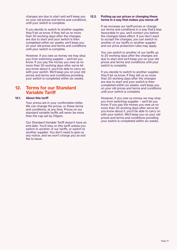changes are due to start and we'll keep you on your old prices and terms and conditions until your switch is complete.

If you decide to switch to another supplier, they'll let us know. If they tell us no more than 20 working days after the changes are due to start and your switch is then completed within six weeks, we'll keep you on your old prices and terms and conditions until your switch is complete.

However, if you owe us money we may stop you from switching supplier – we'll let you know. If you pay the money you owe us no more than 30 working days after we've let you know about it, you'll be able to carry on with your switch. We'll keep you on your old prices and terms and conditions providing your switch is completed within six weeks.

## **12. Terms for our Standard Variable Tariff**

### **12.1. About this tariff**

Your prices are in your confirmation letter. We can change the prices, or these terms and conditions, at any time. Prices on our standard variable tariffs will never be more than the cap set by Ofgem.

Our Standard Variable Tariff doesn't have an end date. You'll stay on this tariff unless you switch to another of our tariffs, or switch to another supplier. You don't need to give us any notice, and we won't charge you an exit fee to leave.

#### **12.2. Putting up our prices or changing these terms in a way that makes you worse off**

If we increase our tariff prices or change our terms and conditions in a way that's less favourable to you, we'll contact you before the changes takes effect. If you don't want to accept the changes, you can switch to another of our tariffs or another supplier and our price protection rules may apply.

You can switch to another of our tariffs up to 20 working days after the changes are due to start and we'll keep you on your old prices and terms and conditions until your switch is complete.

If you decide to switch to another supplier, they'll let us know. If they tell us no more than 20 working days after the changes are due to start and your switch is then completed within six weeks, we'll keep you on your old prices and terms and conditions until your switch is complete.

However, if you owe us money we may stop you from switching supplier – we'll let you know. If you pay the money you owe us no more than 30 working days after we've let you know about it, you'll be able to carry on with your switch. We'll keep you on your old prices and terms and conditions providing your switch is completed within six weeks.